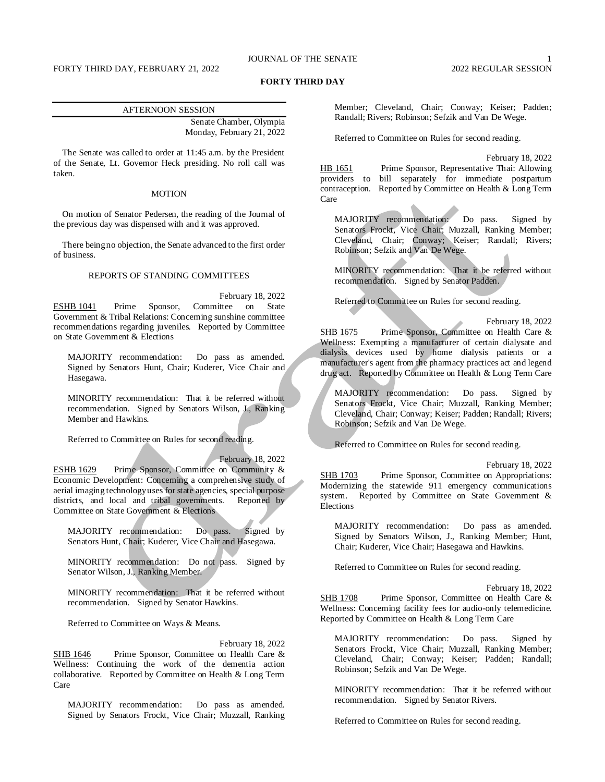# JOURNAL OF THE SENATE 1

# **FORTY THIRD DAY**

# AFTERNOON SESSION

Senate Chamber, Olympia Monday, February 21, 2022

The Senate was called to order at 11:45 a.m. by the President of the Senate, Lt. Governor Heck presiding. No roll call was taken.

# MOTION

On motion of Senator Pedersen, the reading of the Journal of the previous day was dispensed with and it was approved.

There being no objection, the Senate advanced to the first order of business.

# REPORTS OF STANDING COMMITTEES

February 18, 2022 ESHB 1041 Prime Sponsor, Committee on State Government & Tribal Relations: Concerning sunshine committee recommendations regarding juveniles. Reported by Committee on State Government & Elections

MAJORITY recommendation: Do pass as amended. Signed by Senators Hunt, Chair; Kuderer, Vice Chair and Hasegawa.

MINORITY recommendation: That it be referred without recommendation. Signed by Senators Wilson, J., Ranking Member and Hawkins.

Referred to Committee on Rules for second reading.

February 18, 2022 ESHB 1629 Prime Sponsor, Committee on Community & Economic Development: Concerning a comprehensive study of aerial imaging technology uses for state agencies, special purpose districts, and local and tribal governments. Reported by Committee on State Government & Elections

MAJORITY recommendation: Do pass. Signed by Senators Hunt, Chair; Kuderer, Vice Chair and Hasegawa.

MINORITY recommendation: Do not pass. Signed by Senator Wilson, J., Ranking Member.

MINORITY recommendation: That it be referred without recommendation. Signed by Senator Hawkins.

Referred to Committee on Ways & Means.

February 18, 2022 SHB 1646 Prime Sponsor, Committee on Health Care & Wellness: Continuing the work of the dementia action collaborative. Reported by Committee on Health & Long Term Care

MAJORITY recommendation: Do pass as amended. Signed by Senators Frockt, Vice Chair; Muzzall, Ranking Member; Cleveland, Chair; Conway; Keiser; Padden; Randall; Rivers; Robinson; Sefzik and Van De Wege.

Referred to Committee on Rules for second reading.

February 18, 2022 HB 1651 Prime Sponsor, Representative Thai: Allowing providers to bill separately for immediate postpartum contraception. Reported by Committee on Health & Long Term Care

MAJORITY recommendation: Do pass. Signed by Senators Frockt, Vice Chair; Muzzall, Ranking Member; Cleveland, Chair; Conway; Keiser; Randall; Rivers; Robinson; Sefzik and Van De Wege.

MINORITY recommendation: That it be referred without recommendation. Signed by Senator Padden.

Referred to Committee on Rules for second reading.

February 18, 2022 SHB 1675 Prime Sponsor, Committee on Health Care & Wellness: Exempting a manufacturer of certain dialysate and dialysis devices used by home dialysis patients or a manufacturer's agent from the pharmacy practices act and legend drug act. Reported by Committee on Health & Long Term Care

MAJORITY recommendation: Do pass. Signed by Senators Frockt, Vice Chair; Muzzall, Ranking Member; Cleveland, Chair; Conway; Keiser; Padden; Randall; Rivers; Robinson; Sefzik and Van De Wege.

Referred to Committee on Rules for second reading.

February 18, 2022

SHB 1703 Prime Sponsor, Committee on Appropriations: Modernizing the statewide 911 emergency communications system. Reported by Committee on State Government & Elections

MAJORITY recommendation: Do pass as amended. Signed by Senators Wilson, J., Ranking Member; Hunt, Chair; Kuderer, Vice Chair; Hasegawa and Hawkins.

Referred to Committee on Rules for second reading.

February 18, 2022

SHB 1708 Prime Sponsor, Committee on Health Care & Wellness: Concerning facility fees for audio-only telemedicine. Reported by Committee on Health & Long Term Care

MAJORITY recommendation: Do pass. Signed by Senators Frockt, Vice Chair; Muzzall, Ranking Member; Cleveland, Chair; Conway; Keiser; Padden; Randall; Robinson; Sefzik and Van De Wege.

MINORITY recommendation: That it be referred without recommendation. Signed by Senator Rivers.

Referred to Committee on Rules for second reading.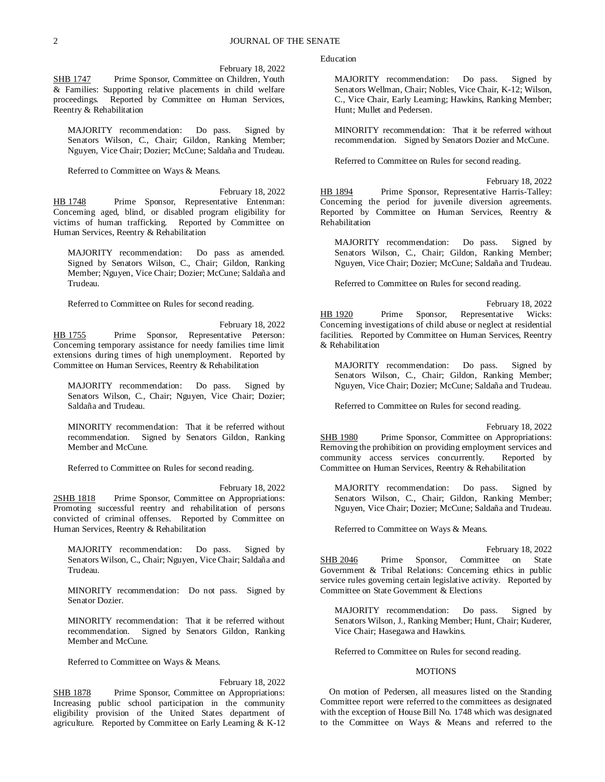February 18, 2022

SHB 1747 Prime Sponsor, Committee on Children, Youth & Families: Supporting relative placements in child welfare proceedings. Reported by Committee on Human Services, Reentry & Rehabilitation

MAJORITY recommendation: Do pass. Signed by Senators Wilson, C., Chair; Gildon, Ranking Member; Nguyen, Vice Chair; Dozier; McCune; Saldaña and Trudeau.

Referred to Committee on Ways & Means.

February 18, 2022 HB 1748 Prime Sponsor, Representative Entenman: Concerning aged, blind, or disabled program eligibility for victims of human trafficking. Reported by Committee on Human Services, Reentry & Rehabilitation

MAJORITY recommendation: Do pass as amended. Signed by Senators Wilson, C., Chair; Gildon, Ranking Member; Nguyen, Vice Chair; Dozier; McCune; Saldaña and Trudeau.

Referred to Committee on Rules for second reading.

February 18, 2022 HB 1755 Prime Sponsor, Representative Peterson: Concerning temporary assistance for needy families time limit extensions during times of high unemployment. Reported by Committee on Human Services, Reentry & Rehabilitation

MAJORITY recommendation: Do pass. Signed by Senators Wilson, C., Chair; Nguyen, Vice Chair; Dozier; Saldaña and Trudeau.

MINORITY recommendation: That it be referred without recommendation. Signed by Senators Gildon, Ranking Member and McCune.

Referred to Committee on Rules for second reading.

February 18, 2022 2SHB 1818 Prime Sponsor, Committee on Appropriations: Promoting successful reentry and rehabilitation of persons convicted of criminal offenses. Reported by Committee on Human Services, Reentry & Rehabilitation

MAJORITY recommendation: Do pass. Signed by Senators Wilson, C., Chair; Nguyen, Vice Chair; Saldaña and Trudeau.

MINORITY recommendation: Do not pass. Signed by Senator Dozier.

MINORITY recommendation: That it be referred without recommendation. Signed by Senators Gildon, Ranking Member and McCune.

Referred to Committee on Ways & Means.

February 18, 2022 SHB 1878 Prime Sponsor, Committee on Appropriations: Increasing public school participation in the community eligibility provision of the United States department of agriculture. Reported by Committee on Early Learning & K-12

Education

MAJORITY recommendation: Do pass. Signed by Senators Wellman, Chair; Nobles, Vice Chair, K-12; Wilson, C., Vice Chair, Early Learning; Hawkins, Ranking Member; Hunt; Mullet and Pedersen.

MINORITY recommendation: That it be referred without recommendation. Signed by Senators Dozier and McCune.

Referred to Committee on Rules for second reading.

February 18, 2022 HB 1894 Prime Sponsor, Representative Harris-Talley: Concerning the period for juvenile diversion agreements. Reported by Committee on Human Services, Reentry & Rehabilitation

MAJORITY recommendation: Do pass. Signed by Senators Wilson, C., Chair; Gildon, Ranking Member; Nguyen, Vice Chair; Dozier; McCune; Saldaña and Trudeau.

Referred to Committee on Rules for second reading.

February 18, 2022 HB 1920 Prime Sponsor, Representative Wicks: Concerning investigations of child abuse or neglect at residential facilities. Reported by Committee on Human Services, Reentry & Rehabilitation

MAJORITY recommendation: Do pass. Signed by Senators Wilson, C., Chair; Gildon, Ranking Member; Nguyen, Vice Chair; Dozier; McCune; Saldaña and Trudeau.

Referred to Committee on Rules for second reading.

February 18, 2022

SHB 1980 Prime Sponsor, Committee on Appropriations: Removing the prohibition on providing employment services and community access services concurrently. Reported by Committee on Human Services, Reentry & Rehabilitation

MAJORITY recommendation: Do pass. Signed by Senators Wilson, C., Chair; Gildon, Ranking Member; Nguyen, Vice Chair; Dozier; McCune; Saldaña and Trudeau.

Referred to Committee on Ways & Means.

February 18, 2022 SHB 2046 Prime Sponsor, Committee on State Government & Tribal Relations: Concerning ethics in public service rules governing certain legislative activity. Reported by Committee on State Government & Elections

MAJORITY recommendation: Do pass. Signed by Senators Wilson, J., Ranking Member; Hunt, Chair; Kuderer, Vice Chair; Hasegawa and Hawkins.

Referred to Committee on Rules for second reading.

## MOTIONS

On motion of Pedersen, all measures listed on the Standing Committee report were referred to the committees as designated with the exception of House Bill No. 1748 which was designated to the Committee on Ways & Means and referred to the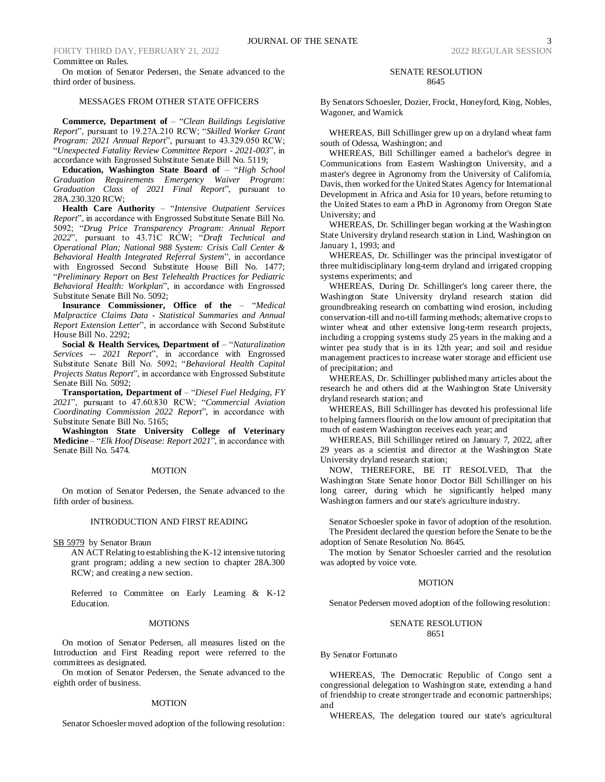# FORTY THIRD DAY, FEBRUARY 21, 2022 2022 2022 2022 2022 REGULAR SESSION Committee on Rules.

On motion of Senator Pedersen, the Senate advanced to the third order of business.

# MESSAGES FROM OTHER STATE OFFICERS

**Commerce, Department of** – "*Clean Buildings Legislative Report*", pursuant to 19.27A.210 RCW; "*Skilled Worker Grant Program: 2021 Annual Report*", pursuant to 43.329.050 RCW; "*Unexpected Fatality Review Committee Report - 2021-003*", in accordance with Engrossed Substitute Senate Bill No. 5119;

**Education, Washington State Board of** – "*High School Graduation Requirements Emergency Waiver Program: Graduation Class of 2021 Final Report*", pursuant to 28A.230.320 RCW;

**Health Care Authority** – "*Intensive Outpatient Services Report*", in accordance with Engrossed Substitute Senate Bill No. 5092; "*Drug Price Transparency Program: Annual Report 2022*", pursuant to 43.71C RCW; "*Draft Technical and Operational Plan; National 988 System: Crisis Call Center & Behavioral Health Integrated Referral System*", in accordance with Engrossed Second Substitute House Bill No. 1477; "*Preliminary Report on Best Telehealth Practices for Pediatric Behavioral Health: Workplan*", in accordance with Engrossed Substitute Senate Bill No. 5092;

**Insurance Commissioner, Office of the** – "*Medical Malpractice Claims Data - Statistical Summaries and Annual Report Extension Letter*", in accordance with Second Substitute House Bill No. 2292;

**Social & Health Services, Department of** – "*Naturalization Services -- 2021 Report*", in accordance with Engrossed Substitute Senate Bill No. 5092; "*Behavioral Health Capital Projects Status Report*", in accordance with Engrossed Substitute Senate Bill No. 5092;

**Transportation, Department of** – "*Diesel Fuel Hedging, FY 2021*", pursuant to 47.60.830 RCW; "*Commercial Aviation Coordinating Commission 2022 Report*", in accordance with Substitute Senate Bill No. 5165;

**Washington State University College of Veterinary Medicine** – "*Elk Hoof Disease: Report 2021*", in accordance with Senate Bill No. 5474.

# **MOTION**

On motion of Senator Pedersen, the Senate advanced to the fifth order of business.

## INTRODUCTION AND FIRST READING

SB 5979 by Senator Braun

AN ACT Relating to establishing the K-12 intensive tutoring grant program; adding a new section to chapter 28A.300 RCW; and creating a new section.

Referred to Committee on Early Learning & K-12 Education.

### **MOTIONS**

On motion of Senator Pedersen, all measures listed on the Introduction and First Reading report were referred to the committees as designated.

On motion of Senator Pedersen, the Senate advanced to the eighth order of business.

#### **MOTION**

Senator Schoesler moved adoption of the following resolution:

## SENATE RESOLUTION 8645

By Senators Schoesler, Dozier, Frockt, Honeyford, King, Nobles, Wagoner, and Warnick

WHEREAS, Bill Schillinger grew up on a dryland wheat farm south of Odessa, Washington; and

WHEREAS, Bill Schillinger earned a bachelor's degree in Communications from Eastern Washington University, and a master's degree in Agronomy from the University of California, Davis, then worked for the United States Agency for International Development in Africa and Asia for 10 years, before returning to the United States to earn a PhD in Agronomy from Oregon State University; and

WHEREAS, Dr. Schillinger began working at the Washington State University dryland research station in Lind, Washington on January 1, 1993; and

WHEREAS, Dr. Schillinger was the principal investigator of three multidisciplinary long-term dryland and irrigated cropping systems experiments; and

WHEREAS, During Dr. Schillinger's long career there, the Washington State University dryland research station did groundbreaking research on combatting wind erosion, including conservation-till and no-till farming methods; alternative crops to winter wheat and other extensive long-term research projects, including a cropping systems study 25 years in the making and a winter pea study that is in its 12th year; and soil and residue management practices to increase water storage and efficient use of precipitation; and

WHEREAS, Dr. Schillinger published many articles about the research he and others did at the Washington State University dryland research station; and

WHEREAS, Bill Schillinger has devoted his professional life to helping farmers flourish on the low amount of precipitation that much of eastern Washington receives each year; and

WHEREAS, Bill Schillinger retired on January 7, 2022, after 29 years as a scientist and director at the Washington State University dryland research station;

NOW, THEREFORE, BE IT RESOLVED, That the Washington State Senate honor Doctor Bill Schillinger on his long career, during which he significantly helped many Washington farmers and our state's agriculture industry.

Senator Schoesler spoke in favor of adoption of the resolution. The President declared the question before the Senate to be the adoption of Senate Resolution No. 8645.

The motion by Senator Schoesler carried and the resolution was adopted by voice vote.

# **MOTION**

Senator Pedersen moved adoption of the following resolution:

## SENATE RESOLUTION 8651

# By Senator Fortunato

WHEREAS, The Democratic Republic of Congo sent a congressional delegation to Washington state, extending a hand of friendship to create stronger trade and economic partnerships; and

WHEREAS, The delegation toured our state's agricultural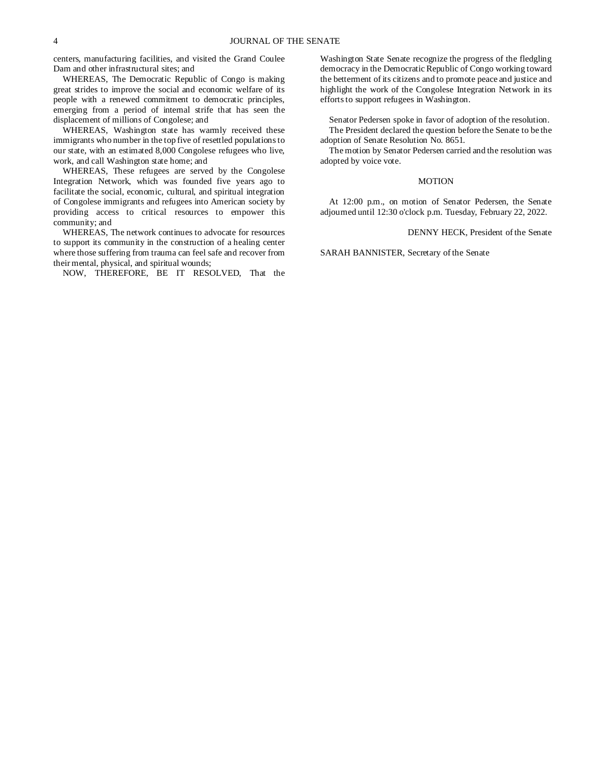centers, manufacturing facilities, and visited the Grand Coulee Dam and other infrastructural sites; and

WHEREAS, The Democratic Republic of Congo is making great strides to improve the social and economic welfare of its people with a renewed commitment to democratic principles, emerging from a period of internal strife that has seen the displacement of millions of Congolese; and

WHEREAS, Washington state has warmly received these immigrants who number in the top five of resettled populations to our state, with an estimated 8,000 Congolese refugees who live, work, and call Washington state home; and

WHEREAS, These refugees are served by the Congolese Integration Network, which was founded five years ago to facilitate the social, economic, cultural, and spiritual integration of Congolese immigrants and refugees into American society by providing access to critical resources to empower this community; and

WHEREAS, The network continues to advocate for resources to support its community in the construction of a healing center where those suffering from trauma can feel safe and recover from their mental, physical, and spiritual wounds;

NOW, THEREFORE, BE IT RESOLVED, That the

Washington State Senate recognize the progress of the fledgling democracy in the Democratic Republic of Congo working toward the betterment of its citizens and to promote peace and justice and highlight the work of the Congolese Integration Network in its efforts to support refugees in Washington.

Senator Pedersen spoke in favor of adoption of the resolution. The President declared the question before the Senate to be the adoption of Senate Resolution No. 8651.

The motion by Senator Pedersen carried and the resolution was adopted by voice vote.

#### MOTION

At 12:00 p.m., on motion of Senator Pedersen, the Senate adjourned until 12:30 o'clock p.m. Tuesday, February 22, 2022.

## DENNY HECK, President of the Senate

SARAH BANNISTER, Secretary of the Senate